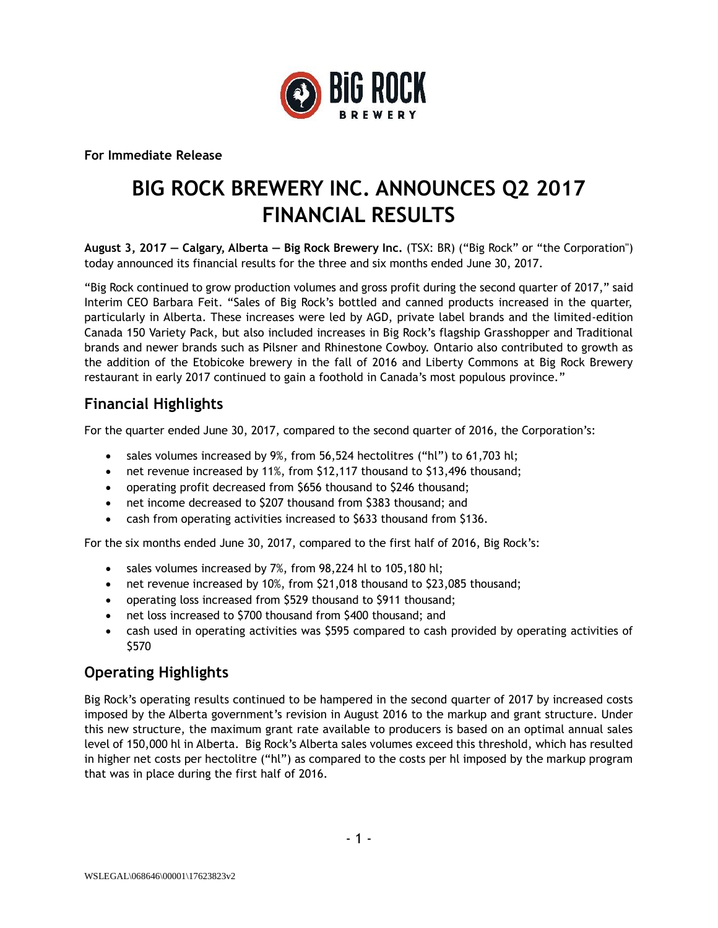

**For Immediate Release**

# **BIG ROCK BREWERY INC. ANNOUNCES Q2 2017 FINANCIAL RESULTS**

**August 3, 2017 — Calgary, Alberta — Big Rock Brewery Inc.** (TSX: BR) ("Big Rock" or "the Corporation") today announced its financial results for the three and six months ended June 30, 2017.

"Big Rock continued to grow production volumes and gross profit during the second quarter of 2017," said Interim CEO Barbara Feit. "Sales of Big Rock's bottled and canned products increased in the quarter, particularly in Alberta. These increases were led by AGD, private label brands and the limited-edition Canada 150 Variety Pack, but also included increases in Big Rock's flagship Grasshopper and Traditional brands and newer brands such as Pilsner and Rhinestone Cowboy. Ontario also contributed to growth as the addition of the Etobicoke brewery in the fall of 2016 and Liberty Commons at Big Rock Brewery restaurant in early 2017 continued to gain a foothold in Canada's most populous province."

# **Financial Highlights**

For the quarter ended June 30, 2017, compared to the second quarter of 2016, the Corporation's:

- sales volumes increased by 9%, from 56,524 hectolitres ("hl") to 61,703 hl;
- net revenue increased by 11%, from \$12,117 thousand to \$13,496 thousand;
- operating profit decreased from \$656 thousand to \$246 thousand;
- net income decreased to \$207 thousand from \$383 thousand; and
- cash from operating activities increased to \$633 thousand from \$136.

For the six months ended June 30, 2017, compared to the first half of 2016, Big Rock's:

- sales volumes increased by 7%, from 98,224 hl to 105,180 hl;
- net revenue increased by 10%, from \$21,018 thousand to \$23,085 thousand;
- operating loss increased from \$529 thousand to \$911 thousand;
- net loss increased to \$700 thousand from \$400 thousand; and
- cash used in operating activities was \$595 compared to cash provided by operating activities of \$570

#### **Operating Highlights**

Big Rock's operating results continued to be hampered in the second quarter of 2017 by increased costs imposed by the Alberta government's revision in August 2016 to the markup and grant structure. Under this new structure, the maximum grant rate available to producers is based on an optimal annual sales level of 150,000 hl in Alberta. Big Rock's Alberta sales volumes exceed this threshold, which has resulted in higher net costs per hectolitre ("hl") as compared to the costs per hl imposed by the markup program that was in place during the first half of 2016.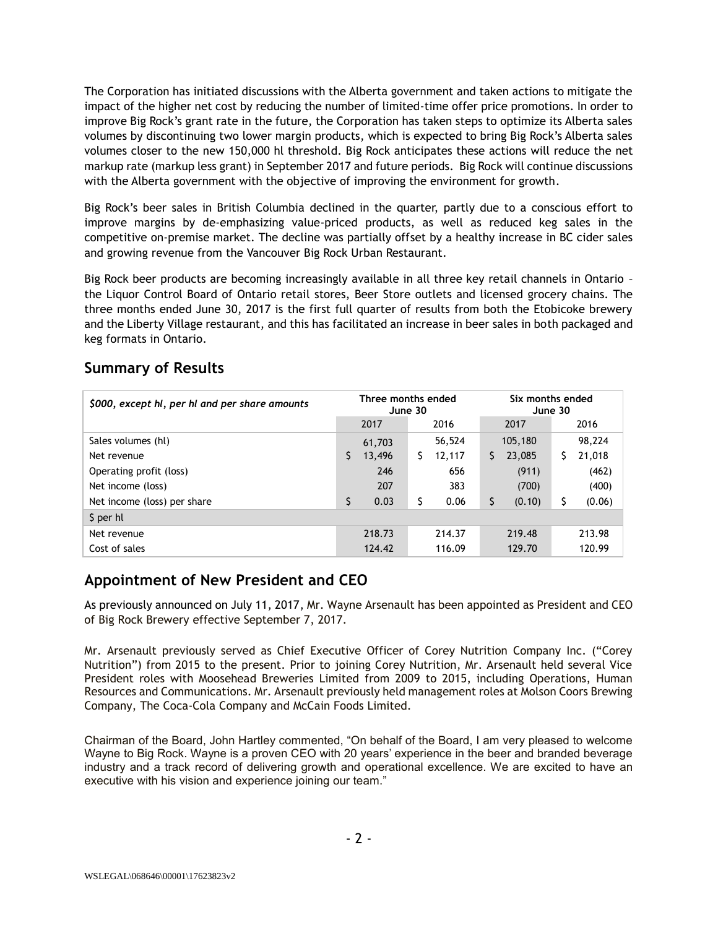The Corporation has initiated discussions with the Alberta government and taken actions to mitigate the impact of the higher net cost by reducing the number of limited-time offer price promotions. In order to improve Big Rock's grant rate in the future, the Corporation has taken steps to optimize its Alberta sales volumes by discontinuing two lower margin products, which is expected to bring Big Rock's Alberta sales volumes closer to the new 150,000 hl threshold. Big Rock anticipates these actions will reduce the net markup rate (markup less grant) in September 2017 and future periods. Big Rock will continue discussions with the Alberta government with the objective of improving the environment for growth.

Big Rock's beer sales in British Columbia declined in the quarter, partly due to a conscious effort to improve margins by de-emphasizing value-priced products, as well as reduced keg sales in the competitive on-premise market. The decline was partially offset by a healthy increase in BC cider sales and growing revenue from the Vancouver Big Rock Urban Restaurant.

Big Rock beer products are becoming increasingly available in all three key retail channels in Ontario – the Liquor Control Board of Ontario retail stores, Beer Store outlets and licensed grocery chains. The three months ended June 30, 2017 is the first full quarter of results from both the Etobicoke brewery and the Liberty Village restaurant, and this has facilitated an increase in beer sales in both packaged and keg formats in Ontario.

| \$000, except hl, per hl and per share amounts | Three months ended<br>June 30 |     |        | Six months ended<br>June 30 |         |    |        |
|------------------------------------------------|-------------------------------|-----|--------|-----------------------------|---------|----|--------|
|                                                | 2017                          |     | 2016   |                             | 2017    |    | 2016   |
| Sales volumes (hl)                             | 61,703                        |     | 56,524 |                             | 105,180 |    | 98,224 |
| Net revenue                                    | \$<br>13,496                  | \$  | 12,117 | S.                          | 23,085  | S  | 21,018 |
| Operating profit (loss)                        |                               | 246 | 656    |                             | (911)   |    | (462)  |
| Net income (loss)                              |                               | 207 | 383    |                             | (700)   |    | (400)  |
| Net income (loss) per share                    | \$<br>0.03                    | \$  | 0.06   | \$                          | (0.10)  | \$ | (0.06) |
| \$ per hl                                      |                               |     |        |                             |         |    |        |
| Net revenue                                    | 218.73                        |     | 214.37 |                             | 219.48  |    | 213.98 |
| Cost of sales                                  | 124.42                        |     | 116.09 |                             | 129.70  |    | 120.99 |

#### **Summary of Results**

# **Appointment of New President and CEO**

As previously announced on July 11, 2017, Mr. Wayne Arsenault has been appointed as President and CEO of Big Rock Brewery effective September 7, 2017.

Mr. Arsenault previously served as Chief Executive Officer of Corey Nutrition Company Inc. ("Corey Nutrition") from 2015 to the present. Prior to joining Corey Nutrition, Mr. Arsenault held several Vice President roles with Moosehead Breweries Limited from 2009 to 2015, including Operations, Human Resources and Communications. Mr. Arsenault previously held management roles at Molson Coors Brewing Company, The Coca-Cola Company and McCain Foods Limited.

Chairman of the Board, John Hartley commented, "On behalf of the Board, I am very pleased to welcome Wayne to Big Rock. Wayne is a proven CEO with 20 years' experience in the beer and branded beverage industry and a track record of delivering growth and operational excellence. We are excited to have an executive with his vision and experience joining our team."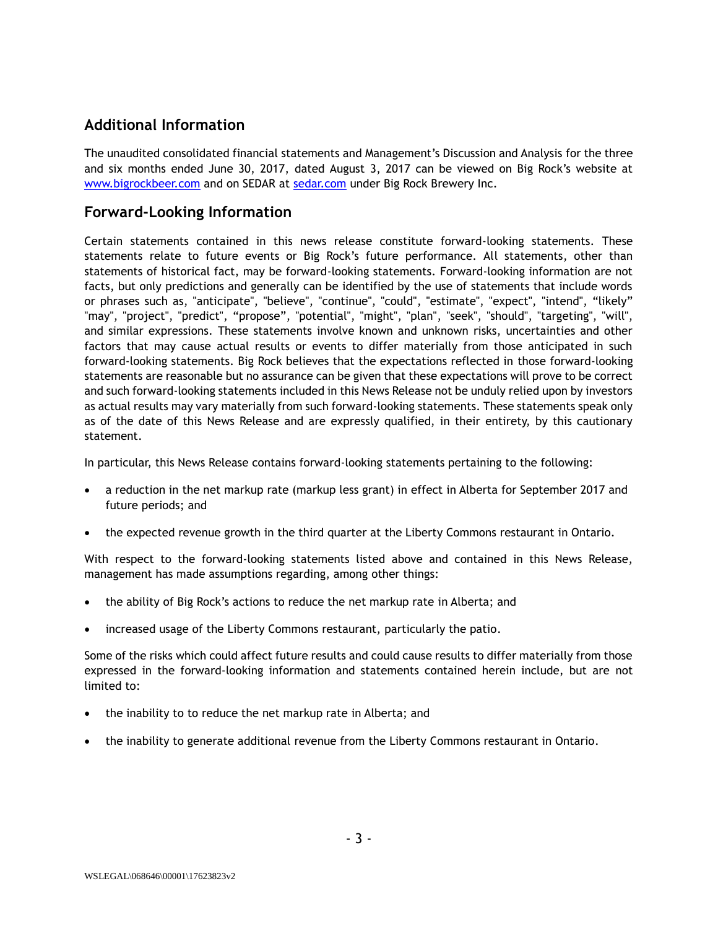# **Additional Information**

The unaudited consolidated financial statements and Management's Discussion and Analysis for the three and six months ended June 30, 2017, dated August 3, 2017 can be viewed on Big Rock's website at [www.bigrockbeer.com](http://www.bigrockbeer.com/) and on SEDAR at [sedar.com](http://www.sedar.com/) under Big Rock Brewery Inc.

#### **Forward-Looking Information**

Certain statements contained in this news release constitute forward-looking statements. These statements relate to future events or Big Rock's future performance. All statements, other than statements of historical fact, may be forward-looking statements. Forward-looking information are not facts, but only predictions and generally can be identified by the use of statements that include words or phrases such as, "anticipate", "believe", "continue", "could", "estimate", "expect", "intend", "likely" "may", "project", "predict", "propose", "potential", "might", "plan", "seek", "should", "targeting", "will", and similar expressions. These statements involve known and unknown risks, uncertainties and other factors that may cause actual results or events to differ materially from those anticipated in such forward-looking statements. Big Rock believes that the expectations reflected in those forward-looking statements are reasonable but no assurance can be given that these expectations will prove to be correct and such forward-looking statements included in this News Release not be unduly relied upon by investors as actual results may vary materially from such forward-looking statements. These statements speak only as of the date of this News Release and are expressly qualified, in their entirety, by this cautionary statement.

In particular, this News Release contains forward-looking statements pertaining to the following:

- a reduction in the net markup rate (markup less grant) in effect in Alberta for September 2017 and future periods; and
- the expected revenue growth in the third quarter at the Liberty Commons restaurant in Ontario.

With respect to the forward-looking statements listed above and contained in this News Release, management has made assumptions regarding, among other things:

- the ability of Big Rock's actions to reduce the net markup rate in Alberta; and
- increased usage of the Liberty Commons restaurant, particularly the patio.

Some of the risks which could affect future results and could cause results to differ materially from those expressed in the forward-looking information and statements contained herein include, but are not limited to:

- the inability to to reduce the net markup rate in Alberta; and
- the inability to generate additional revenue from the Liberty Commons restaurant in Ontario.